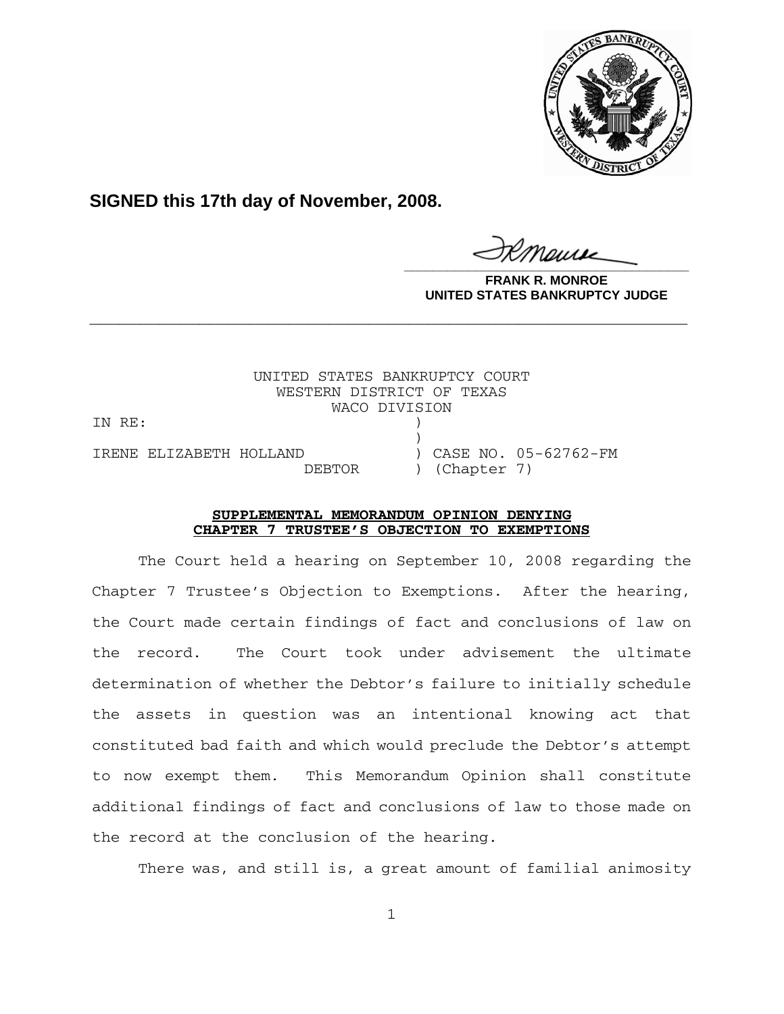

**SIGNED this 17th day of November, 2008.**

**\_\_\_\_\_\_\_\_\_\_\_\_\_\_\_\_\_\_\_\_\_\_\_\_\_\_\_\_\_\_\_\_\_\_\_\_\_\_\_\_**

**FRANK R. MONROE UNITED STATES BANKRUPTCY JUDGE**

UNITED STATES BANKRUPTCY COURT WESTERN DISTRICT OF TEXAS WACO DIVISION IN RE:  $)$ IRENE ELIZABETH HOLLAND ) CASE NO. 05-62762-FM DEBTOR ) (Chapter 7)

## **SUPPLEMENTAL MEMORANDUM OPINION DENYING CHAPTER 7 TRUSTEE'S OBJECTION TO EXEMPTIONS**

**\_\_\_\_\_\_\_\_\_\_\_\_\_\_\_\_\_\_\_\_\_\_\_\_\_\_\_\_\_\_\_\_\_\_\_\_\_\_\_\_\_\_\_\_\_\_\_\_\_\_\_\_\_\_\_\_\_\_\_\_**

The Court held a hearing on September 10, 2008 regarding the Chapter 7 Trustee's Objection to Exemptions. After the hearing, the Court made certain findings of fact and conclusions of law on the record. The Court took under advisement the ultimate determination of whether the Debtor's failure to initially schedule the assets in question was an intentional knowing act that constituted bad faith and which would preclude the Debtor's attempt to now exempt them. This Memorandum Opinion shall constitute additional findings of fact and conclusions of law to those made on the record at the conclusion of the hearing.

There was, and still is, a great amount of familial animosity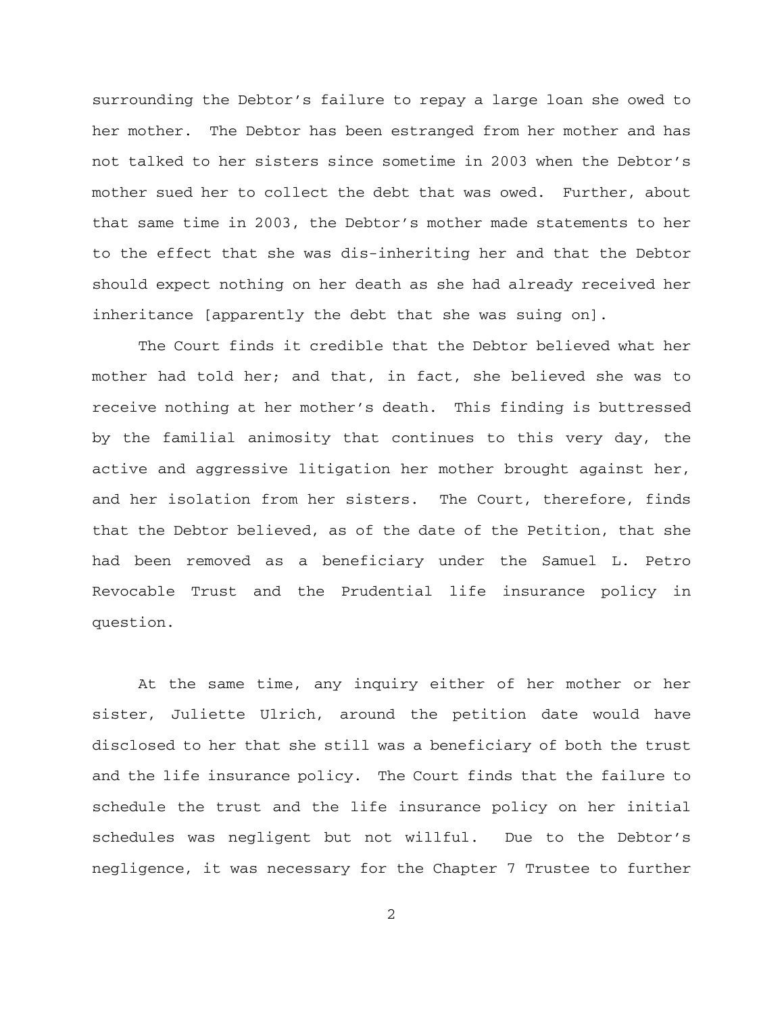surrounding the Debtor's failure to repay a large loan she owed to her mother. The Debtor has been estranged from her mother and has not talked to her sisters since sometime in 2003 when the Debtor's mother sued her to collect the debt that was owed. Further, about that same time in 2003, the Debtor's mother made statements to her to the effect that she was dis-inheriting her and that the Debtor should expect nothing on her death as she had already received her inheritance [apparently the debt that she was suing on].

The Court finds it credible that the Debtor believed what her mother had told her; and that, in fact, she believed she was to receive nothing at her mother's death. This finding is buttressed by the familial animosity that continues to this very day, the active and aggressive litigation her mother brought against her, and her isolation from her sisters. The Court, therefore, finds that the Debtor believed, as of the date of the Petition, that she had been removed as a beneficiary under the Samuel L. Petro Revocable Trust and the Prudential life insurance policy in question.

At the same time, any inquiry either of her mother or her sister, Juliette Ulrich, around the petition date would have disclosed to her that she still was a beneficiary of both the trust and the life insurance policy. The Court finds that the failure to schedule the trust and the life insurance policy on her initial schedules was negligent but not willful. Due to the Debtor's negligence, it was necessary for the Chapter 7 Trustee to further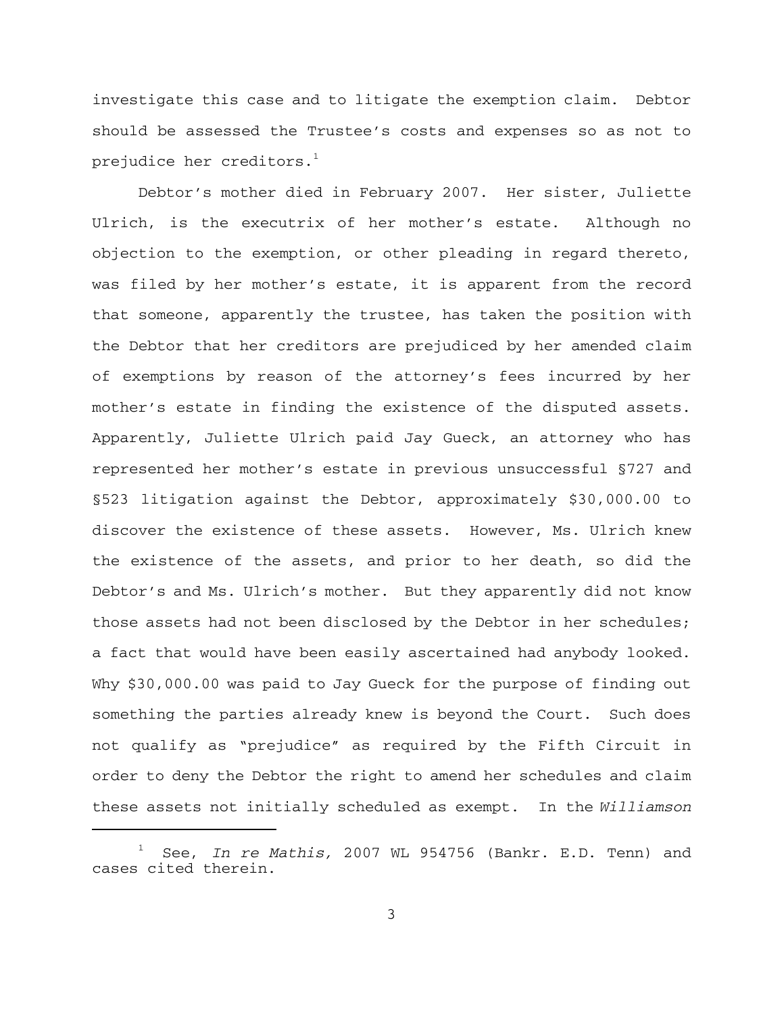investigate this case and to litigate the exemption claim. Debtor should be assessed the Trustee's costs and expenses so as not to prejudice her creditors. $<sup>1</sup>$ </sup>

Debtor's mother died in February 2007. Her sister, Juliette Ulrich, is the executrix of her mother's estate. Although no objection to the exemption, or other pleading in regard thereto, was filed by her mother's estate, it is apparent from the record that someone, apparently the trustee, has taken the position with the Debtor that her creditors are prejudiced by her amended claim of exemptions by reason of the attorney's fees incurred by her mother's estate in finding the existence of the disputed assets. Apparently, Juliette Ulrich paid Jay Gueck, an attorney who has represented her mother's estate in previous unsuccessful §727 and §523 litigation against the Debtor, approximately \$30,000.00 to discover the existence of these assets. However, Ms. Ulrich knew the existence of the assets, and prior to her death, so did the Debtor's and Ms. Ulrich's mother. But they apparently did not know those assets had not been disclosed by the Debtor in her schedules; a fact that would have been easily ascertained had anybody looked. Why \$30,000.00 was paid to Jay Gueck for the purpose of finding out something the parties already knew is beyond the Court. Such does not qualify as "prejudice" as required by the Fifth Circuit in order to deny the Debtor the right to amend her schedules and claim these assets not initially scheduled as exempt. In the *Williamson*

<sup>1</sup> See, *In re Mathis,* 2007 WL 954756 (Bankr. E.D. Tenn) and cases cited therein.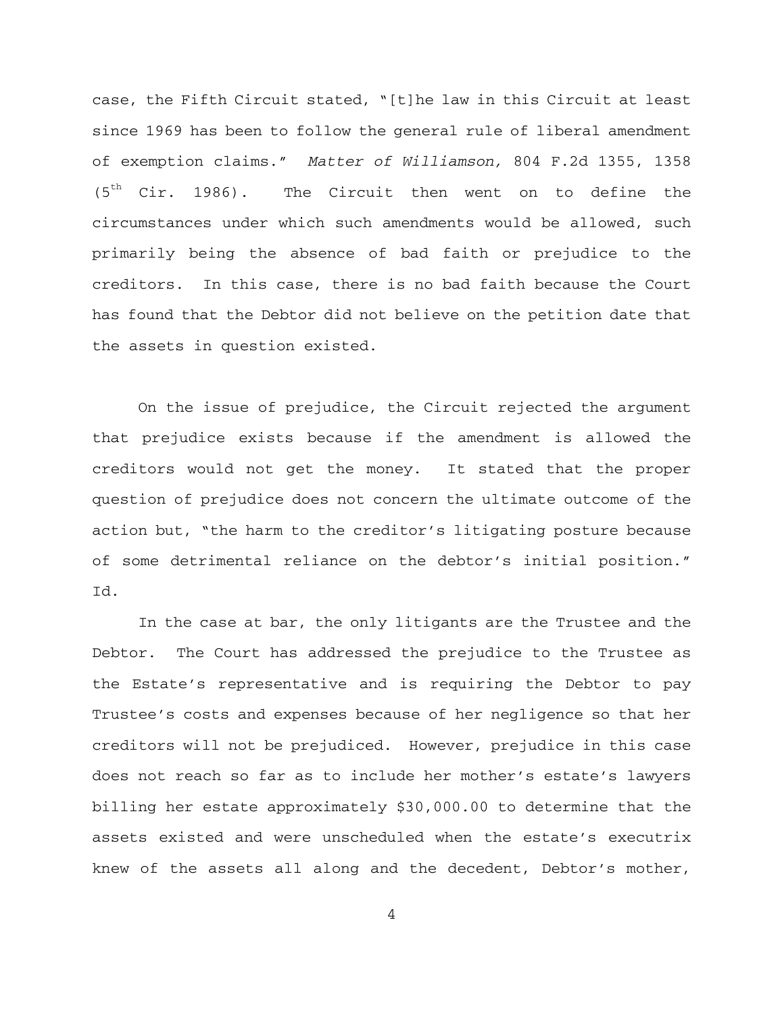case, the Fifth Circuit stated, "[t]he law in this Circuit at least since 1969 has been to follow the general rule of liberal amendment of exemption claims." *Matter of Williamson,* 804 F.2d 1355, 1358  $(5<sup>th</sup>$  Cir. 1986). The Circuit then went on to define the circumstances under which such amendments would be allowed, such primarily being the absence of bad faith or prejudice to the creditors. In this case, there is no bad faith because the Court has found that the Debtor did not believe on the petition date that the assets in question existed.

On the issue of prejudice, the Circuit rejected the argument that prejudice exists because if the amendment is allowed the creditors would not get the money. It stated that the proper question of prejudice does not concern the ultimate outcome of the action but, "the harm to the creditor's litigating posture because of some detrimental reliance on the debtor's initial position." Id.

In the case at bar, the only litigants are the Trustee and the Debtor. The Court has addressed the prejudice to the Trustee as the Estate's representative and is requiring the Debtor to pay Trustee's costs and expenses because of her negligence so that her creditors will not be prejudiced. However, prejudice in this case does not reach so far as to include her mother's estate's lawyers billing her estate approximately \$30,000.00 to determine that the assets existed and were unscheduled when the estate's executrix knew of the assets all along and the decedent, Debtor's mother,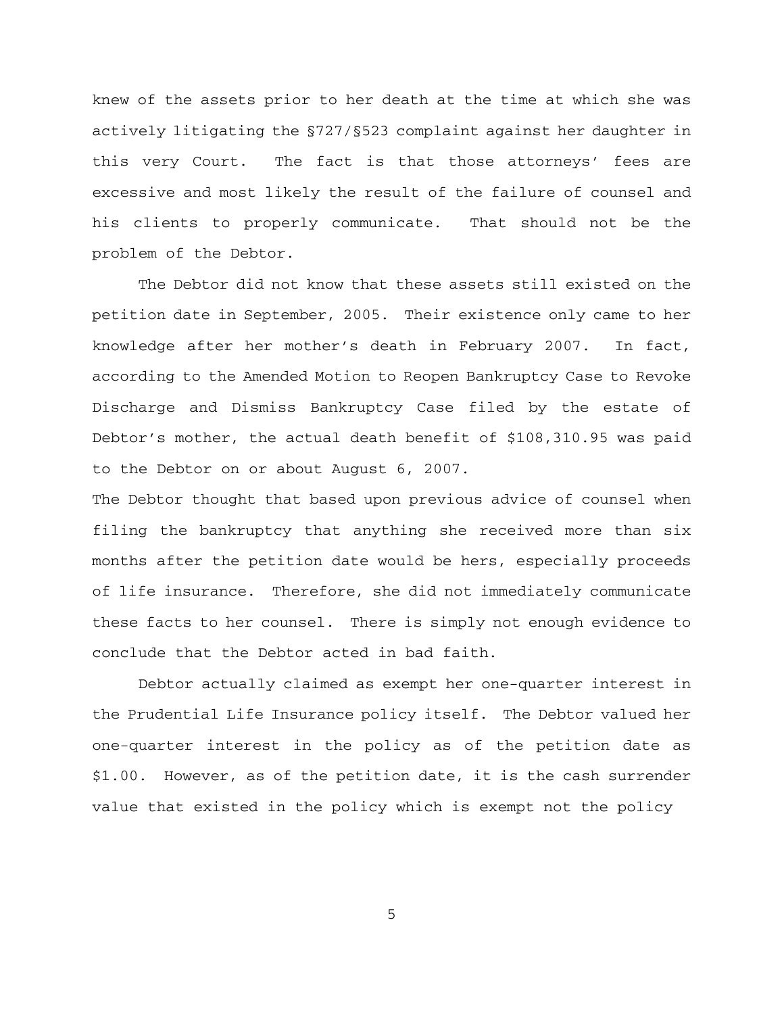knew of the assets prior to her death at the time at which she was actively litigating the §727/§523 complaint against her daughter in this very Court. The fact is that those attorneys' fees are excessive and most likely the result of the failure of counsel and his clients to properly communicate. That should not be the problem of the Debtor.

The Debtor did not know that these assets still existed on the petition date in September, 2005. Their existence only came to her knowledge after her mother's death in February 2007. In fact, according to the Amended Motion to Reopen Bankruptcy Case to Revoke Discharge and Dismiss Bankruptcy Case filed by the estate of Debtor's mother, the actual death benefit of \$108,310.95 was paid to the Debtor on or about August 6, 2007.

The Debtor thought that based upon previous advice of counsel when filing the bankruptcy that anything she received more than six months after the petition date would be hers, especially proceeds of life insurance. Therefore, she did not immediately communicate these facts to her counsel. There is simply not enough evidence to conclude that the Debtor acted in bad faith.

Debtor actually claimed as exempt her one-quarter interest in the Prudential Life Insurance policy itself. The Debtor valued her one-quarter interest in the policy as of the petition date as \$1.00. However, as of the petition date, it is the cash surrender value that existed in the policy which is exempt not the policy